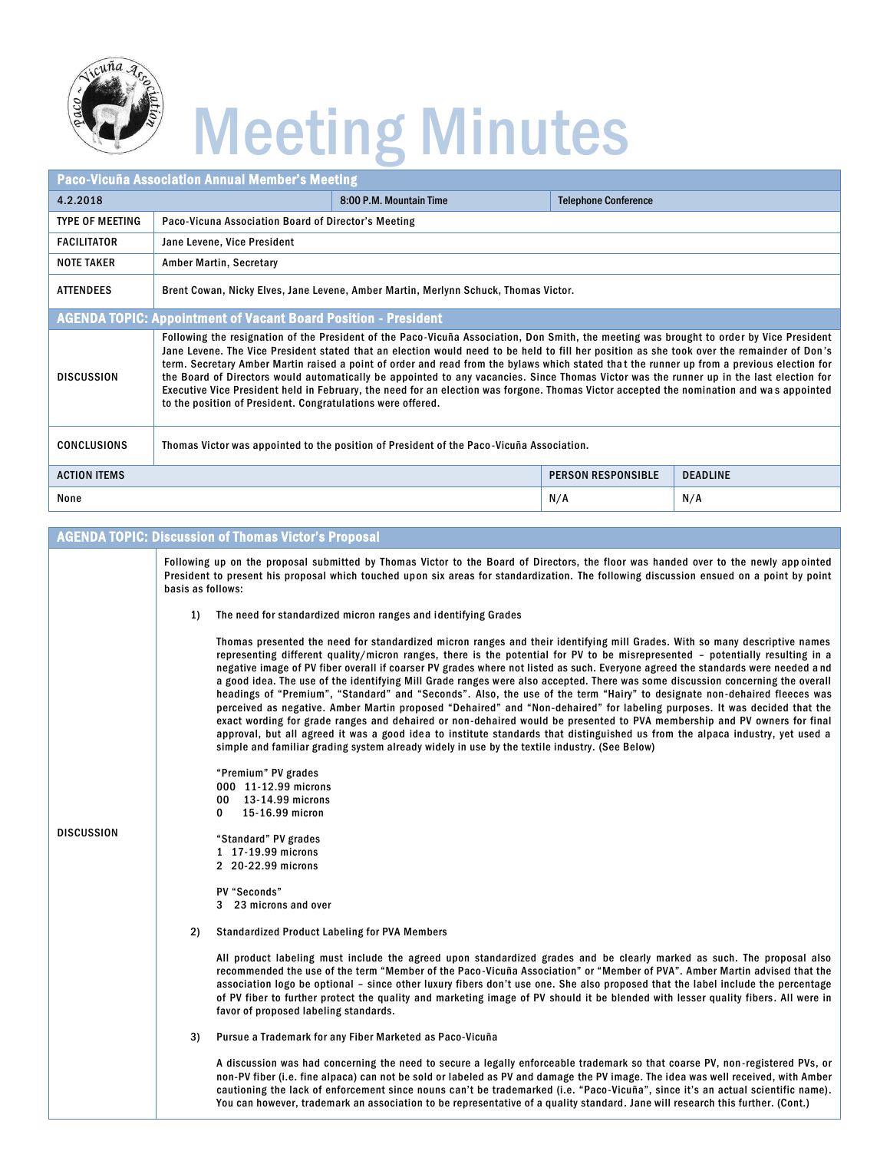

## Meeting Minutes

| <b>Paco-Vicuña Association Annual Member's Meeting</b>                |                                                                                                                                                                                                                                                                                                                                                                                                                                                                                                                                                                                                                                                                                                                                                                                             |                         |                             |                 |  |  |
|-----------------------------------------------------------------------|---------------------------------------------------------------------------------------------------------------------------------------------------------------------------------------------------------------------------------------------------------------------------------------------------------------------------------------------------------------------------------------------------------------------------------------------------------------------------------------------------------------------------------------------------------------------------------------------------------------------------------------------------------------------------------------------------------------------------------------------------------------------------------------------|-------------------------|-----------------------------|-----------------|--|--|
| 4.2.2018                                                              |                                                                                                                                                                                                                                                                                                                                                                                                                                                                                                                                                                                                                                                                                                                                                                                             | 8:00 P.M. Mountain Time | <b>Telephone Conference</b> |                 |  |  |
| <b>TYPE OF MEETING</b>                                                | Paco-Vicuna Association Board of Director's Meeting                                                                                                                                                                                                                                                                                                                                                                                                                                                                                                                                                                                                                                                                                                                                         |                         |                             |                 |  |  |
| <b>FACILITATOR</b>                                                    | Jane Levene, Vice President                                                                                                                                                                                                                                                                                                                                                                                                                                                                                                                                                                                                                                                                                                                                                                 |                         |                             |                 |  |  |
| <b>NOTE TAKER</b>                                                     | Amber Martin, Secretary                                                                                                                                                                                                                                                                                                                                                                                                                                                                                                                                                                                                                                                                                                                                                                     |                         |                             |                 |  |  |
| <b>ATTENDEES</b>                                                      | Brent Cowan, Nicky Elves, Jane Levene, Amber Martin, Merlynn Schuck, Thomas Victor.                                                                                                                                                                                                                                                                                                                                                                                                                                                                                                                                                                                                                                                                                                         |                         |                             |                 |  |  |
| <b>AGENDA TOPIC: Appointment of Vacant Board Position - President</b> |                                                                                                                                                                                                                                                                                                                                                                                                                                                                                                                                                                                                                                                                                                                                                                                             |                         |                             |                 |  |  |
| <b>DISCUSSION</b>                                                     | Following the resignation of the President of the Paco-Vicuña Association, Don Smith, the meeting was brought to order by Vice President<br>Jane Levene. The Vice President stated that an election would need to be held to fill her position as she took over the remainder of Don's<br>term. Secretary Amber Martin raised a point of order and read from the bylaws which stated that the runner up from a previous election for<br>the Board of Directors would automatically be appointed to any vacancies. Since Thomas Victor was the runner up in the last election for<br>Executive Vice President held in February, the need for an election was forgone. Thomas Victor accepted the nomination and was appointed<br>to the position of President. Congratulations were offered. |                         |                             |                 |  |  |
| <b>CONCLUSIONS</b>                                                    | Thomas Victor was appointed to the position of President of the Paco-Vicuña Association.                                                                                                                                                                                                                                                                                                                                                                                                                                                                                                                                                                                                                                                                                                    |                         |                             |                 |  |  |
| <b>ACTION ITEMS</b>                                                   |                                                                                                                                                                                                                                                                                                                                                                                                                                                                                                                                                                                                                                                                                                                                                                                             |                         | <b>PERSON RESPONSIBLE</b>   | <b>DEADLINE</b> |  |  |
| None                                                                  |                                                                                                                                                                                                                                                                                                                                                                                                                                                                                                                                                                                                                                                                                                                                                                                             |                         | N/A                         | N/A             |  |  |

## **AGENDA TOPIC: Discussion of Thomas Victor's Proposal**

|                   | Following up on the proposal submitted by Thomas Victor to the Board of Directors, the floor was handed over to the newly appointed<br>President to present his proposal which touched upon six areas for standardization. The following discussion ensued on a point by point<br>basis as follows:                                                                                                                                                                                                                                                                                                                                                                                                                                                                                                                                                                                                                                                                                                                                                                                                                                                     |  |  |  |
|-------------------|---------------------------------------------------------------------------------------------------------------------------------------------------------------------------------------------------------------------------------------------------------------------------------------------------------------------------------------------------------------------------------------------------------------------------------------------------------------------------------------------------------------------------------------------------------------------------------------------------------------------------------------------------------------------------------------------------------------------------------------------------------------------------------------------------------------------------------------------------------------------------------------------------------------------------------------------------------------------------------------------------------------------------------------------------------------------------------------------------------------------------------------------------------|--|--|--|
|                   | The need for standardized micron ranges and identifying Grades<br>1)                                                                                                                                                                                                                                                                                                                                                                                                                                                                                                                                                                                                                                                                                                                                                                                                                                                                                                                                                                                                                                                                                    |  |  |  |
|                   | Thomas presented the need for standardized micron ranges and their identifying mill Grades. With so many descriptive names<br>representing different quality/micron ranges, there is the potential for PV to be misrepresented - potentially resulting in a<br>negative image of PV fiber overall if coarser PV grades where not listed as such. Everyone agreed the standards were needed and<br>a good idea. The use of the identifying Mill Grade ranges were also accepted. There was some discussion concerning the overall<br>headings of "Premium", "Standard" and "Seconds". Also, the use of the term "Hairy" to designate non-dehaired fleeces was<br>perceived as negative. Amber Martin proposed "Dehaired" and "Non-dehaired" for labeling purposes. It was decided that the<br>exact wording for grade ranges and dehaired or non-dehaired would be presented to PVA membership and PV owners for final<br>approval, but all agreed it was a good idea to institute standards that distinguished us from the alpaca industry, yet used a<br>simple and familiar grading system already widely in use by the textile industry. (See Below) |  |  |  |
|                   | "Premium" PV grades                                                                                                                                                                                                                                                                                                                                                                                                                                                                                                                                                                                                                                                                                                                                                                                                                                                                                                                                                                                                                                                                                                                                     |  |  |  |
|                   | 000 11-12.99 microns<br>00 13-14.99 microns                                                                                                                                                                                                                                                                                                                                                                                                                                                                                                                                                                                                                                                                                                                                                                                                                                                                                                                                                                                                                                                                                                             |  |  |  |
|                   | 15-16.99 micron<br>0                                                                                                                                                                                                                                                                                                                                                                                                                                                                                                                                                                                                                                                                                                                                                                                                                                                                                                                                                                                                                                                                                                                                    |  |  |  |
| <b>DISCUSSION</b> | "Standard" PV grades<br>1 17-19.99 microns<br>2 20-22.99 microns                                                                                                                                                                                                                                                                                                                                                                                                                                                                                                                                                                                                                                                                                                                                                                                                                                                                                                                                                                                                                                                                                        |  |  |  |
|                   | PV "Seconds"<br>3 23 microns and over                                                                                                                                                                                                                                                                                                                                                                                                                                                                                                                                                                                                                                                                                                                                                                                                                                                                                                                                                                                                                                                                                                                   |  |  |  |
|                   | <b>Standardized Product Labeling for PVA Members</b><br>2)                                                                                                                                                                                                                                                                                                                                                                                                                                                                                                                                                                                                                                                                                                                                                                                                                                                                                                                                                                                                                                                                                              |  |  |  |
|                   | All product labeling must include the agreed upon standardized grades and be clearly marked as such. The proposal also<br>recommended the use of the term "Member of the Paco-Vicuña Association" or "Member of PVA". Amber Martin advised that the<br>association logo be optional - since other luxury fibers don't use one. She also proposed that the label include the percentage<br>of PV fiber to further protect the quality and marketing image of PV should it be blended with lesser quality fibers. All were in<br>favor of proposed labeling standards.                                                                                                                                                                                                                                                                                                                                                                                                                                                                                                                                                                                    |  |  |  |
|                   | Pursue a Trademark for any Fiber Marketed as Paco-Vicuña<br>3)                                                                                                                                                                                                                                                                                                                                                                                                                                                                                                                                                                                                                                                                                                                                                                                                                                                                                                                                                                                                                                                                                          |  |  |  |
|                   | A discussion was had concerning the need to secure a legally enforceable trademark so that coarse PV, non-registered PVs, or<br>non-PV fiber (i.e. fine alpaca) can not be sold or labeled as PV and damage the PV image. The idea was well received, with Amber<br>cautioning the lack of enforcement since nouns can't be trademarked (i.e. "Paco-Vicuña", since it's an actual scientific name).<br>You can however, trademark an association to be representative of a quality standard. Jane will research this further. (Cont.)                                                                                                                                                                                                                                                                                                                                                                                                                                                                                                                                                                                                                   |  |  |  |